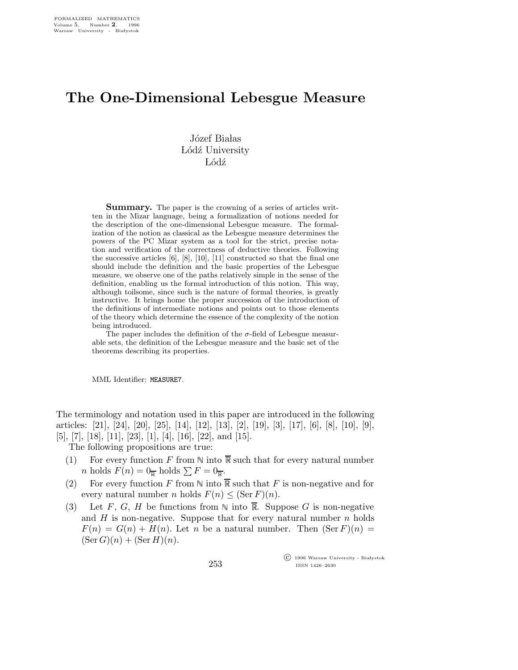## The One-Dimensional Lebesgue Measure

Józef Białas Lódź University Lódź

**Summary.** The paper is the crowning of a series of articles written in the Mizar language, being a formalization of notions needed for the description of the one-dimensional Lebesgue measure. The formalization of the notion as classical as the Lebesgue measure determines the powers of the PC Mizar system as a tool for the strict, precise notation and verification of the correctness of deductive theories. Following the successive articles  $[6]$ ,  $[8]$ ,  $[10]$ ,  $[11]$  constructed so that the final one should include the definition and the basic properties of the Lebesgue measure, we observe one of the paths relatively simple in the sense of the definition, enabling us the formal introduction of this notion. This way, although toilsome, since such is the nature of formal theories, is greatly instructive. It brings home the proper succession of the introduction of the definitions of intermediate notions and points out to those elements of the theory which determine the essence of the complexity of the notion being introduced.

The paper includes the definition of the  $\sigma$ -field of Lebesgue measurable sets, the definition of the Lebesgue measure and the basic set of the theorems describing its properties.

MML Identifier: MEASURE7.

The terminology and notation used in this paper are introduced in the following articles: [21], [24], [20], [25], [14], [12], [13], [2], [19], [3], [17], [6], [8], [10], [9], [5], [7], [18], [11], [23], [1], [4], [16], [22], and [15].

The following propositions are true:

- (1) For every function F from  $\mathbb N$  into  $\overline{\mathbb R}$  such that for every natural number *n* holds  $F(n) = 0_{\overline{R}}$  holds  $\sum F = 0_{\overline{R}}$ .
- (2) For every function F from  $\mathbb N$  into  $\overline{\mathbb R}$  such that F is non-negative and for every natural number *n* holds  $F(n) \leq (\text{Ser } F)(n)$ .
- (3) Let F, G, H be functions from  $\mathbb N$  into  $\overline{\mathbb R}$ . Suppose G is non-negative and  $H$  is non-negative. Suppose that for every natural number  $n$  holds  $F(n) = G(n) + H(n)$ . Let n be a natural number. Then  $(\text{Ser } F)(n) =$  $(\text{Ser } G)(n) + (\text{Ser } H)(n).$

 $\overline{\text{C}}$  1996 Warsaw University - Białystok ISSN 1426–2630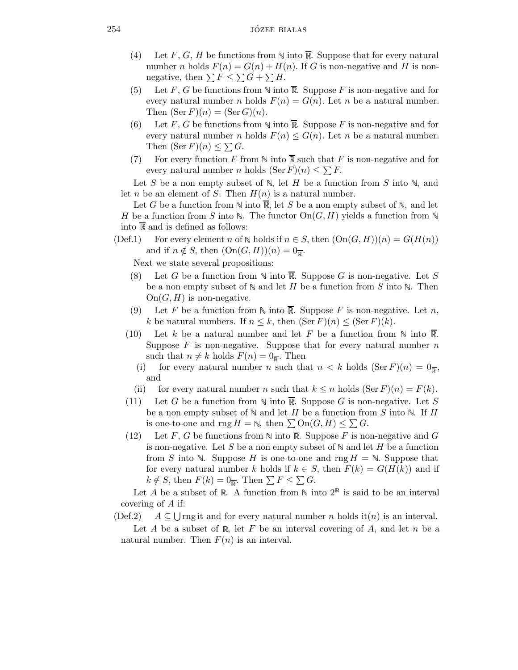- (4) Let F, G, H be functions from  $\mathbb N$  into  $\overline{\mathbb R}$ . Suppose that for every natural number n holds  $F(n) = G(n) + H(n)$ . If G is non-negative and H is nonnegative, then  $\sum F \leq \sum G + \sum H$ .
- (5) Let F, G be functions from  $\mathbb N$  into  $\overline{\mathbb R}$ . Suppose F is non-negative and for every natural number *n* holds  $F(n) = G(n)$ . Let *n* be a natural number. Then  $(\operatorname{Ser} F)(n) = (\operatorname{Ser} G)(n)$ .
- (6) Let F, G be functions from  $\mathbb N$  into  $\overline{\mathbb R}$ . Suppose F is non-negative and for every natural number *n* holds  $F(n) \leq G(n)$ . Let *n* be a natural number. Then  $(\operatorname{Ser} F)(n) \leq \sum G$ .
- (7) For every function F from  $\mathbb N$  into  $\overline{\mathbb R}$  such that F is non-negative and for every natural number *n* holds  $(\text{Ser } F)(n) \leq \sum F$ .

Let S be a non empty subset of  $\mathbb N$ , let H be a function from S into  $\mathbb N$ , and let *n* be an element of *S*. Then  $H(n)$  is a natural number.

Let G be a function from  $\mathbb N$  into  $\overline{\mathbb R}$ , let S be a non empty subset of  $\mathbb N$ , and let H be a function from S into N. The functor  $\text{On}(G, H)$  yields a function from N into  $\overline{\mathbb{R}}$  and is defined as follows:

(Def.1) For every element n of  $\mathbb N$  holds if  $n \in S$ , then  $(On(G,H))(n) = G(H(n))$ and if  $n \notin S$ , then  $(On(G, H))(n) = 0_{\overline{R}}$ .

Next we state several propositions:

- (8) Let G be a function from  $\mathbb N$  into  $\overline{\mathbb R}$ . Suppose G is non-negative. Let S be a non empty subset of  $\mathbb N$  and let H be a function from S into  $\mathbb N$ . Then  $On(G, H)$  is non-negative.
- (9) Let F be a function from  $\mathbb N$  into  $\overline{\mathbb R}$ . Suppose F is non-negative. Let n, k be natural numbers. If  $n \leq k$ , then  $(\text{Ser } F)(n) \leq (\text{Ser } F)(k)$ .
- (10) Let k be a natural number and let F be a function from  $\mathbb N$  into  $\overline{\mathbb R}$ . Suppose  $F$  is non-negative. Suppose that for every natural number  $n$ such that  $n \neq k$  holds  $F(n) = 0_{\overline{k}}$ . Then
	- (i) for every natural number n such that  $n < k$  holds  $(\text{Ser } F)(n) = 0_{\overline{p}}$ , and
	- (ii) for every natural number n such that  $k \leq n$  holds  $(\text{Ser } F)(n) = F(k)$ .
- (11) Let G be a function from  $\mathbb N$  into  $\overline{\mathbb R}$ . Suppose G is non-negative. Let S be a non empty subset of  $\mathbb N$  and let H be a function from S into  $\mathbb N$ . If H is one-to-one and rng  $H = \mathbb{N}$ , then  $\sum \text{On}(G, H) \leq \sum G$ .
- (12) Let F, G be functions from  $\mathbb N$  into  $\overline{\mathbb R}$ . Suppose F is non-negative and G is non-negative. Let S be a non empty subset of  $\mathbb N$  and let H be a function from S into N. Suppose H is one-to-one and rng  $H = N$ . Suppose that for every natural number k holds if  $k \in S$ , then  $F(k) = G(H(k))$  and if  $k \notin S$ , then  $F(k) = 0_{\overline{k}}$ . Then  $\sum F \leq \sum G$ .

Let A be a subset of R. A function from  $\mathbb N$  into  $2^{\mathbb R}$  is said to be an interval covering of A if:

 $(Def.2)$ Urng it and for every natural number n holds it (n) is an interval.

Let A be a subset of R, let F be an interval covering of A, and let n be a natural number. Then  $F(n)$  is an interval.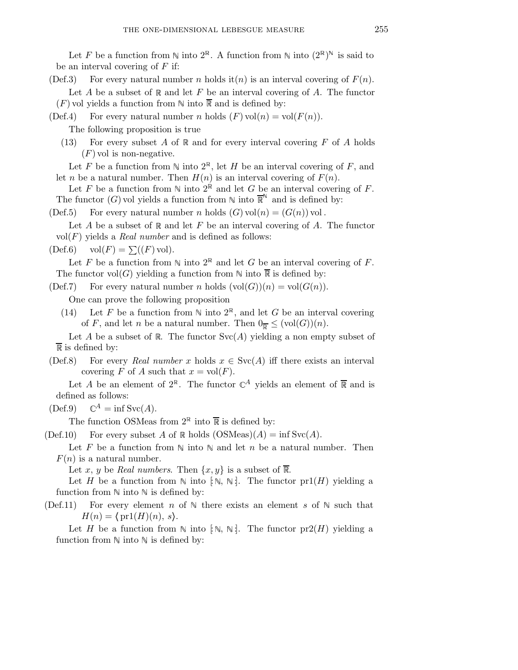Let F be a function from  $\mathbb N$  into  $2^{\mathbb R}$ . A function from  $\mathbb N$  into  $(2^{\mathbb R})^{\mathbb N}$  is said to be an interval covering of  $F$  if:

(Def.3) For every natural number n holds it (n) is an interval covering of  $F(n)$ .

Let  $A$  be a subset of  $R$  and let  $F$  be an interval covering of  $A$ . The functor  $(F)$  vol yields a function from  $\mathbb N$  into  $\overline{\mathbb R}$  and is defined by:

(Def.4) For every natural number n holds  $(F)$  vol $(n) = vol(F(n))$ .

The following proposition is true

- (13) For every subset A of  $\mathbb R$  and for every interval covering F of A holds  $(F)$  vol is non-negative.
- Let F be a function from  $\mathbb N$  into  $2^{\mathbb R}$ , let H be an interval covering of F, and let *n* be a natural number. Then  $H(n)$  is an interval covering of  $F(n)$ .
- Let F be a function from  $\mathbb N$  into  $2^{\mathbb R}$  and let G be an interval covering of F. The functor  $(G)$  vol yields a function from  $\mathbb N$  into  $\mathbb R^N$  and is defined by:
- (Def.5) For every natural number n holds  $(G)$  vol $(n) = (G(n))$  vol.
- Let A be a subset of  $\mathbb R$  and let F be an interval covering of A. The functor  $vol(F)$  yields a *Real number* and is defined as follows:

 $(\text{Def.6}) \quad \text{vol}(F) = \sum (F) \text{vol}.$ 

Let F be a function from  $\mathbb N$  into  $2^{\mathbb R}$  and let G be an interval covering of F. The functor vol(G) yielding a function from  $\mathbb N$  into  $\overline{\mathbb R}$  is defined by:

 $(Def.7)$  For every natural number n holds  $(vol(G))(n) = vol(G(n)).$ 

One can prove the following proposition

(14) Let F be a function from  $\mathbb N$  into  $2^{\mathbb R}$ , and let G be an interval covering of F, and let n be a natural number. Then  $0_{\overline{R}} \leq (vol(G))(n)$ .

Let A be a subset of R. The functor  $Svc(A)$  yielding a non empty subset of  $\overline{\mathbb{R}}$  is defined by:

(Def.8) For every Real number x holds  $x \in \text{Svc}(A)$  iff there exists an interval covering F of A such that  $x = vol(F)$ .

Let A be an element of  $2^{\mathbb{R}}$ . The functor  $\mathbb{C}^{A}$  yields an element of  $\overline{\mathbb{R}}$  and is defined as follows:

 $(\text{Def.9}) \quad \mathbb{C}^A = \inf \text{Svc}(A).$ 

The function OSMeas from  $2^{\mathbb{R}}$  into  $\overline{\mathbb{R}}$  is defined by:

 $(Def.10)$  For every subset A of R holds  $(OSMeas)(A) = \inf Svc(A)$ .

Let F be a function from  $\mathbb N$  into  $\mathbb N$  and let n be a natural number. Then  $F(n)$  is a natural number.

Let x, y be Real numbers. Then  $\{x, y\}$  is a subset of  $\overline{\mathbb{R}}$ .

Let H be a function from  $\mathbb N$  into [ $\mathbb N$ ,  $\mathbb N$ ]. The functor pr1(H) yielding a function from  $\mathbb N$  into  $\mathbb N$  is defined by:

(Def.11) For every element n of  $\mathbb N$  there exists an element s of  $\mathbb N$  such that  $H(n) = \{ \text{pr1}(H)(n), s \}.$ 

Let H be a function from  $\mathbb N$  into  $[\mathbb N, \mathbb N]$ . The functor  $pr2(H)$  yielding a function from  $\mathbb N$  into  $\mathbb N$  is defined by: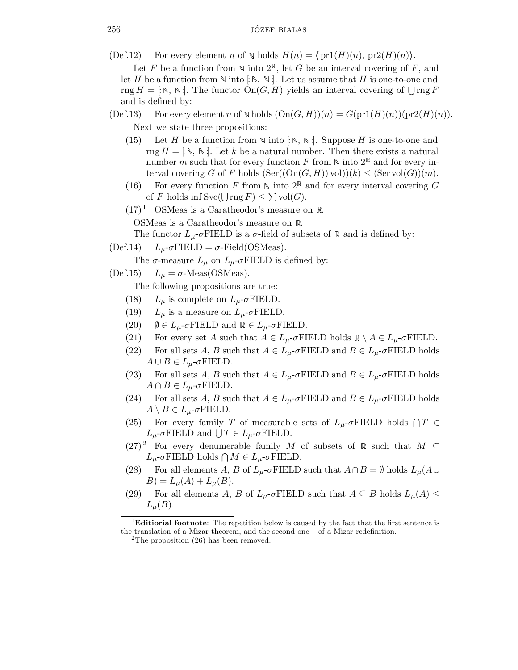(Def.12) For every element n of  $\mathbb N$  holds  $H(n) = \{ \text{pr1}(H)(n), \text{pr2}(H)(n) \}.$ 

Let F be a function from  $\mathbb N$  into  $2^{\mathbb N}$ , let G be an interval covering of F, and let H be a function from  $\mathbb N$  into  $\colon \mathbb N, \mathbb N$ . Let us assume that H is one-to-one and rng  $H = [\mathbb{N}, \mathbb{N}].$  The functor  $\text{On}(G, H)$  yields an interval covering of  $\bigcup \text{rng } F$ and is defined by:

- $(\text{Def.13})$  For every element n of N holds  $(\text{On}(G, H))(n) = G(\text{pr1}(H)(n))(\text{pr2}(H)(n)).$ Next we state three propositions:
	- (15) Let H be a function from  $\mathbb N$  into  $[\mathbb N, \mathbb N]$ . Suppose H is one-to-one and rng  $H = [\mathbb{N}, \mathbb{N}]$ . Let k be a natural number. Then there exists a natural number m such that for every function F from  $\mathbb N$  into  $2^{\mathbb R}$  and for every interval covering G of F holds  $(\text{Ser}((\text{On}(G, H)) \text{ vol}))(k) \leq (\text{Ser vol}(G))(m)$ .
	- (16) For every function F from  $\mathbb N$  into  $2^{\mathbb R}$  and for every interval covering G of F holds inf  $Svc(\bigcup \text{rng } F) \leq \sum vol(G)$ .
	- $(17)^1$  OSMeas is a Caratheodor's measure on R.

OSMeas is a Caratheodor's measure on  $\mathbb R$ .

The functor  $L_{\mu}$ -σFIELD is a σ-field of subsets of  $\mathbb R$  and is defined by:

(Def.14)  $L_u$ -σFIELD = σ-Field(OSMeas).

The  $\sigma$ -measure  $L_{\mu}$  on  $L_{\mu}$ - $\sigma$ FIELD is defined by:

(Def.15)  $L_{\mu} = \sigma$ -Meas(OSMeas).

The following propositions are true:

- (18)  $L_{\mu}$  is complete on  $L_{\mu}$ -σFIELD.
- (19)  $L_{\mu}$  is a measure on  $L_{\mu}$ -σFIELD.
- (20)  $\emptyset \in L_{\mu}$ -σFIELD and  $\mathbb{R} \in L_{\mu}$ -σFIELD.
- (21) For every set A such that  $A \in L_{\mu}$ - $\sigma$ FIELD holds  $\mathbb{R} \setminus A \in L_{\mu}$ - $\sigma$ FIELD.
- (22) For all sets A, B such that  $A \in L_{\mu}$ -σFIELD and  $B \in L_{\mu}$ -σFIELD holds  $A \cup B \in L_{\mu}$ -σFIELD.
- (23) For all sets A, B such that  $A \in L_{\mu}$ - $\sigma$ FIELD and  $B \in L_{\mu}$ - $\sigma$ FIELD holds  $A \cap B \in L_{\mu}$ -σFIELD.
- (24) For all sets A, B such that  $A \in L_{\mu}$ - $\sigma$ FIELD and  $B \in L_{\mu}$ - $\sigma$ FIELD holds  $A \setminus B \in L_{\mu}$ -σFIELD.
- (25) For every family T of measurable sets of  $L_{\mu}$ - $\sigma$ FIELD holds  $\bigcap T \in$  $L_{\mu}$ -σFIELD and  $\bigcup T \in L_{\mu}$ -σFIELD.
- (27)<sup>2</sup> For every denumerable family M of subsets of R such that  $M \subseteq$  $L_{\mu}$ -σFIELD holds  $\bigcap M \in L_{\mu}$ -σFIELD.
- (28) For all elements A, B of  $L_{\mu}$ -σFIELD such that  $A \cap B = \emptyset$  holds  $L_{\mu}(A \cup$  $B = L_{\mu}(A) + L_{\mu}(B).$
- (29) For all elements A, B of  $L_{\mu}$ - $\sigma$ FIELD such that  $A \subseteq B$  holds  $L_{\mu}(A) \leq$  $L_{\mu}(B)$ .

 ${}^{1}$ **Editiorial footnote**: The repetition below is caused by the fact that the first sentence is the translation of a Mizar theorem, and the second one – of a Mizar redefinition.

 ${}^{2}$ The proposition (26) has been removed.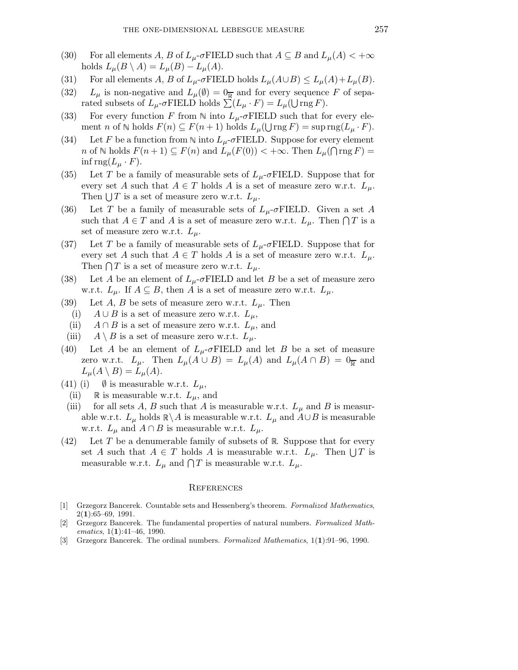- (30) For all elements A, B of  $L_\mu$ - $\sigma$ FIELD such that  $A \subseteq B$  and  $L_\mu(A) < +\infty$ holds  $L_{\mu}(B \setminus A) = L_{\mu}(B) - L_{\mu}(A)$ .
- (31) For all elements A, B of  $L_{\mu}$ - $\sigma$ FIELD holds  $L_{\mu}(A\cup B) \le L_{\mu}(A) + L_{\mu}(B)$ .
- (32)  $L_{\mu}$  is non-negative and  $L_{\mu}(\emptyset) = 0_{\overline{\mathbb{R}}}$  and for every sequence F of separated subsets of  $L_{\mu}$ -σFIELD holds  $\sum (L_{\mu} \cdot F) = L_{\mu}(\bigcup \text{rng } F)$ .
- (33) For every function F from N into  $L_u$ -σFIELD such that for every element *n* of  $\mathbb N$  holds  $F(n) \subseteq F(n+1)$  holds  $L_{\mu}(\bigcup_{i} \text{rng } F) = \sup_{i} \text{rng}(L_{\mu} \cdot F)$ .
- (34) Let F be a function from N into  $L_u$ -σFIELD. Suppose for every element n of  $\mathbb N$  holds  $F(n+1) \subseteq F(n)$  and  $L_{\mu}(F(0)) < +\infty$ . Then  $L_{\mu}(\bigcap_{i=1}^{\infty} F) =$ inf rng $(L_\mu \cdot F)$ .
- (35) Let T be a family of measurable sets of  $L_{\mu}$ -σFIELD. Suppose that for every set A such that  $A \in T$  holds A is a set of measure zero w.r.t.  $L_{\mu}$ . Then  $\bigcup T$  is a set of measure zero w.r.t.  $L_{\mu}$ .
- (36) Let T be a family of measurable sets of  $L_u$ -σFIELD. Given a set A such that  $A \in T$  and A is a set of measure zero w.r.t.  $L_{\mu}$ . Then  $\bigcap T$  is a set of measure zero w.r.t.  $L_{\mu}$ .
- (37) Let T be a family of measurable sets of  $L_{\mu}$ -σFIELD. Suppose that for every set A such that  $A \in T$  holds A is a set of measure zero w.r.t.  $L_{\mu}$ . Then  $\bigcap T$  is a set of measure zero w.r.t.  $L_{\mu}$ .
- (38) Let A be an element of  $L_{\mu}$ -σFIELD and let B be a set of measure zero w.r.t.  $L_{\mu}$ . If  $A \subseteq B$ , then A is a set of measure zero w.r.t.  $L_{\mu}$ .
- (39) Let A, B be sets of measure zero w.r.t.  $L_{\mu}$ . Then
	- (i)  $A \cup B$  is a set of measure zero w.r.t.  $L_{\mu}$ ,
	- (ii)  $A \cap B$  is a set of measure zero w.r.t.  $L_u$ , and
- (iii)  $A \setminus B$  is a set of measure zero w.r.t.  $L_{\mu}$ .
- (40) Let A be an element of  $L_u$ -σFIELD and let B be a set of measure zero w.r.t.  $L_{\mu}$ . Then  $L_{\mu}(A \cup B) = L_{\mu}(A)$  and  $L_{\mu}(A \cap B) = 0_{\overline{k}}$  and  $L_{\mu}(A \setminus B) = L_{\mu}(A).$
- (41) (i)  $\emptyset$  is measurable w.r.t.  $L_{\mu}$ ,
	- (ii) R is measurable w.r.t.  $L_{\mu}$ , and
	- (iii) for all sets A, B such that A is measurable w.r.t.  $L_{\mu}$  and B is measurable w.r.t.  $L_{\mu}$  holds  $\mathbb{R}\backslash A$  is measurable w.r.t.  $L_{\mu}$  and  $A\cup B$  is measurable w.r.t.  $L_{\mu}$  and  $A \cap B$  is measurable w.r.t.  $L_{\mu}$ .
- (42) Let T be a denumerable family of subsets of  $\mathbb R$ . Suppose that for every set A such that  $A \in T$  holds A is measurable w.r.t.  $L_{\mu}$ . Then  $\bigcup T$  is measurable w.r.t.  $L_{\mu}$  and  $\bigcap T$  is measurable w.r.t.  $L_{\mu}$ .

## **REFERENCES**

- [1] Grzegorz Bancerek. Countable sets and Hessenberg's theorem. Formalized Mathematics,  $2(1):65-69, 1991.$
- [2] Grzegorz Bancerek. The fundamental properties of natural numbers. Formalized Mathematics,  $1(1):41-46$ , 1990.
- [3] Grzegorz Bancerek. The ordinal numbers. Formalized Mathematics, 1(1):91–96, 1990.